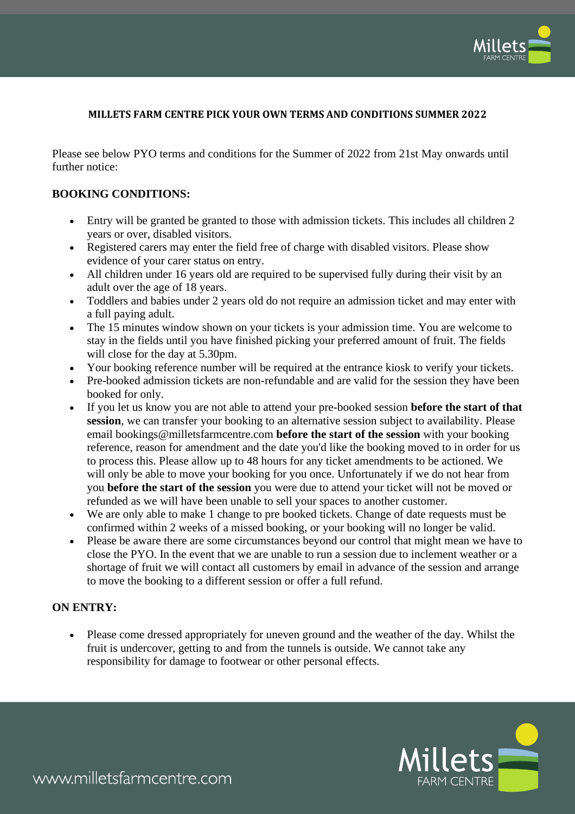

## **MILLETS FARM CENTRE PICK YOUR OWN TERMS AND CONDITIONS SUMMER 2022**

Please see below PYO terms and conditions for the Summer of 2022 from 21st May onwards until further notice:

## **BOOKING CONDITIONS:**

- Entry will be granted be granted to those with admission tickets. This includes all children 2 years or over, disabled visitors.
- Registered carers may enter the field free of charge with disabled visitors. Please show evidence of your carer status on entry.
- All children under 16 years old are required to be supervised fully during their visit by an adult over the age of 18 years.
- Toddlers and babies under 2 years old do not require an admission ticket and may enter with a full paying adult.
- The 15 minutes window shown on your tickets is your admission time. You are welcome to stay in the fields until you have finished picking your preferred amount of fruit. The fields will close for the day at 5.30pm.
- Your booking reference number will be required at the entrance kiosk to verify your tickets.
- Pre-booked admission tickets are non-refundable and are valid for the session they have been booked for only.
- If you let us know you are not able to attend your pre-booked session **before the start of that session**, we can transfer your booking to an alternative session subject to availability. Please email bookings@milletsfarmcentre.com **before the start of the session** with your booking reference, reason for amendment and the date you'd like the booking moved to in order for us to process this. Please allow up to 48 hours for any ticket amendments to be actioned. We will only be able to move your booking for you once. Unfortunately if we do not hear from you **before the start of the session** you were due to attend your ticket will not be moved or refunded as we will have been unable to sell your spaces to another customer.
- We are only able to make 1 change to pre booked tickets. Change of date requests must be confirmed within 2 weeks of a missed booking, or your booking will no longer be valid.
- Please be aware there are some circumstances beyond our control that might mean we have to close the PYO. In the event that we are unable to run a session due to inclement weather or a shortage of fruit we will contact all customers by email in advance of the session and arrange to move the booking to a different session or offer a full refund.

## **ON ENTRY:**

• Please come dressed appropriately for uneven ground and the weather of the day. Whilst the fruit is undercover, getting to and from the tunnels is outside. We cannot take any responsibility for damage to footwear or other personal effects.



www.milletsfarmcentre.com